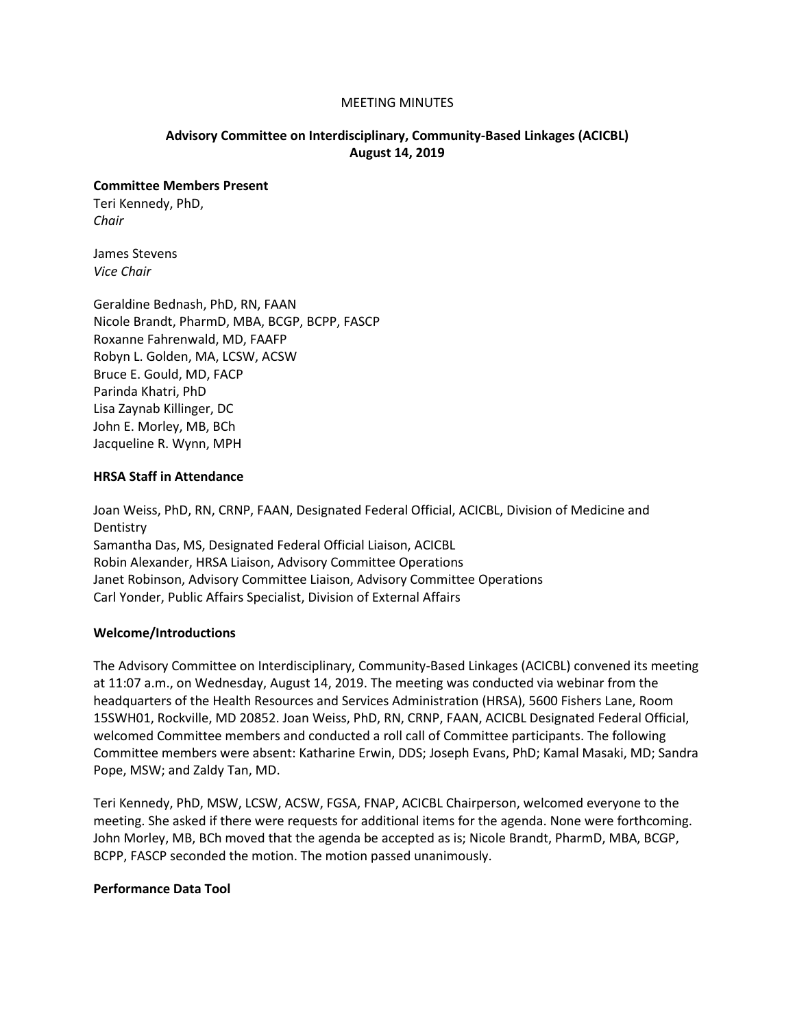#### MEETING MINUTES

## **Advisory Committee on Interdisciplinary, Community-Based Linkages (ACICBL) August 14, 2019**

#### **Committee Members Present**

Teri Kennedy, PhD, *Chair*

James Stevens *Vice Chair*

Geraldine Bednash, PhD, RN, FAAN Nicole Brandt, PharmD, MBA, BCGP, BCPP, FASCP Roxanne Fahrenwald, MD, FAAFP Robyn L. Golden, MA, LCSW, ACSW Bruce E. Gould, MD, FACP Parinda Khatri, PhD Lisa Zaynab Killinger, DC John E. Morley, MB, BCh Jacqueline R. Wynn, MPH

#### **HRSA Staff in Attendance**

Joan Weiss, PhD, RN, CRNP, FAAN, Designated Federal Official, ACICBL, Division of Medicine and Dentistry Samantha Das, MS, Designated Federal Official Liaison, ACICBL Robin Alexander, HRSA Liaison, Advisory Committee Operations Janet Robinson, Advisory Committee Liaison, Advisory Committee Operations Carl Yonder, Public Affairs Specialist, Division of External Affairs

#### **Welcome/Introductions**

The Advisory Committee on Interdisciplinary, Community-Based Linkages (ACICBL) convened its meeting at 11:07 a.m., on Wednesday, August 14, 2019. The meeting was conducted via webinar from the headquarters of the Health Resources and Services Administration (HRSA), 5600 Fishers Lane, Room 15SWH01, Rockville, MD 20852. Joan Weiss, PhD, RN, CRNP, FAAN, ACICBL Designated Federal Official, welcomed Committee members and conducted a roll call of Committee participants. The following Committee members were absent: Katharine Erwin, DDS; Joseph Evans, PhD; Kamal Masaki, MD; Sandra Pope, MSW; and Zaldy Tan, MD.

Teri Kennedy, PhD, MSW, LCSW, ACSW, FGSA, FNAP, ACICBL Chairperson, welcomed everyone to the meeting. She asked if there were requests for additional items for the agenda. None were forthcoming. John Morley, MB, BCh moved that the agenda be accepted as is; Nicole Brandt, PharmD, MBA, BCGP, BCPP, FASCP seconded the motion. The motion passed unanimously.

#### **Performance Data Tool**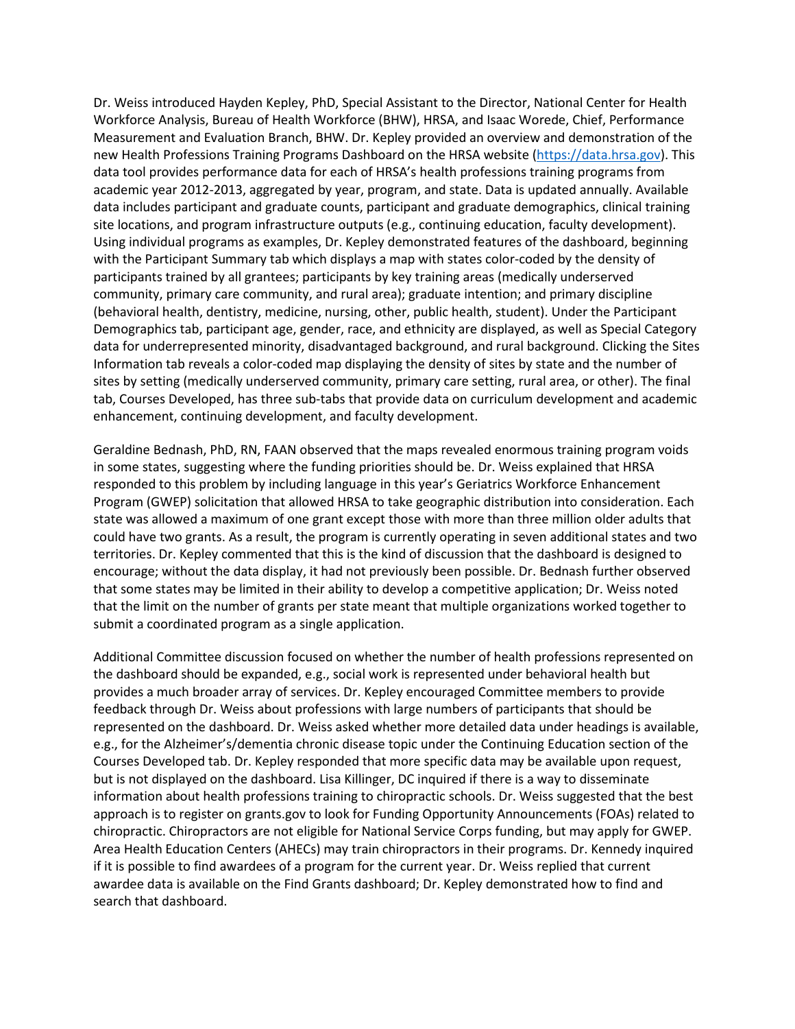Dr. Weiss introduced Hayden Kepley, PhD, Special Assistant to the Director, National Center for Health Workforce Analysis, Bureau of Health Workforce (BHW), HRSA, and Isaac Worede, Chief, Performance Measurement and Evaluation Branch, BHW. Dr. Kepley provided an overview and demonstration of the new Health Professions Training Programs Dashboard on the HRSA website [\(https://data.hrsa.gov\)](https://data.hrsa.gov/). This data tool provides performance data for each of HRSA's health professions training programs from academic year 2012-2013, aggregated by year, program, and state. Data is updated annually. Available data includes participant and graduate counts, participant and graduate demographics, clinical training site locations, and program infrastructure outputs (e.g., continuing education, faculty development). Using individual programs as examples, Dr. Kepley demonstrated features of the dashboard, beginning with the Participant Summary tab which displays a map with states color-coded by the density of participants trained by all grantees; participants by key training areas (medically underserved community, primary care community, and rural area); graduate intention; and primary discipline (behavioral health, dentistry, medicine, nursing, other, public health, student). Under the Participant Demographics tab, participant age, gender, race, and ethnicity are displayed, as well as Special Category data for underrepresented minority, disadvantaged background, and rural background. Clicking the Sites Information tab reveals a color-coded map displaying the density of sites by state and the number of sites by setting (medically underserved community, primary care setting, rural area, or other). The final tab, Courses Developed, has three sub-tabs that provide data on curriculum development and academic enhancement, continuing development, and faculty development.

Geraldine Bednash, PhD, RN, FAAN observed that the maps revealed enormous training program voids in some states, suggesting where the funding priorities should be. Dr. Weiss explained that HRSA responded to this problem by including language in this year's Geriatrics Workforce Enhancement Program (GWEP) solicitation that allowed HRSA to take geographic distribution into consideration. Each state was allowed a maximum of one grant except those with more than three million older adults that could have two grants. As a result, the program is currently operating in seven additional states and two territories. Dr. Kepley commented that this is the kind of discussion that the dashboard is designed to encourage; without the data display, it had not previously been possible. Dr. Bednash further observed that some states may be limited in their ability to develop a competitive application; Dr. Weiss noted that the limit on the number of grants per state meant that multiple organizations worked together to submit a coordinated program as a single application.

Additional Committee discussion focused on whether the number of health professions represented on the dashboard should be expanded, e.g., social work is represented under behavioral health but provides a much broader array of services. Dr. Kepley encouraged Committee members to provide feedback through Dr. Weiss about professions with large numbers of participants that should be represented on the dashboard. Dr. Weiss asked whether more detailed data under headings is available, e.g., for the Alzheimer's/dementia chronic disease topic under the Continuing Education section of the Courses Developed tab. Dr. Kepley responded that more specific data may be available upon request, but is not displayed on the dashboard. Lisa Killinger, DC inquired if there is a way to disseminate information about health professions training to chiropractic schools. Dr. Weiss suggested that the best approach is to register on grants.gov to look for Funding Opportunity Announcements (FOAs) related to chiropractic. Chiropractors are not eligible for National Service Corps funding, but may apply for GWEP. Area Health Education Centers (AHECs) may train chiropractors in their programs. Dr. Kennedy inquired if it is possible to find awardees of a program for the current year. Dr. Weiss replied that current awardee data is available on the Find Grants dashboard; Dr. Kepley demonstrated how to find and search that dashboard.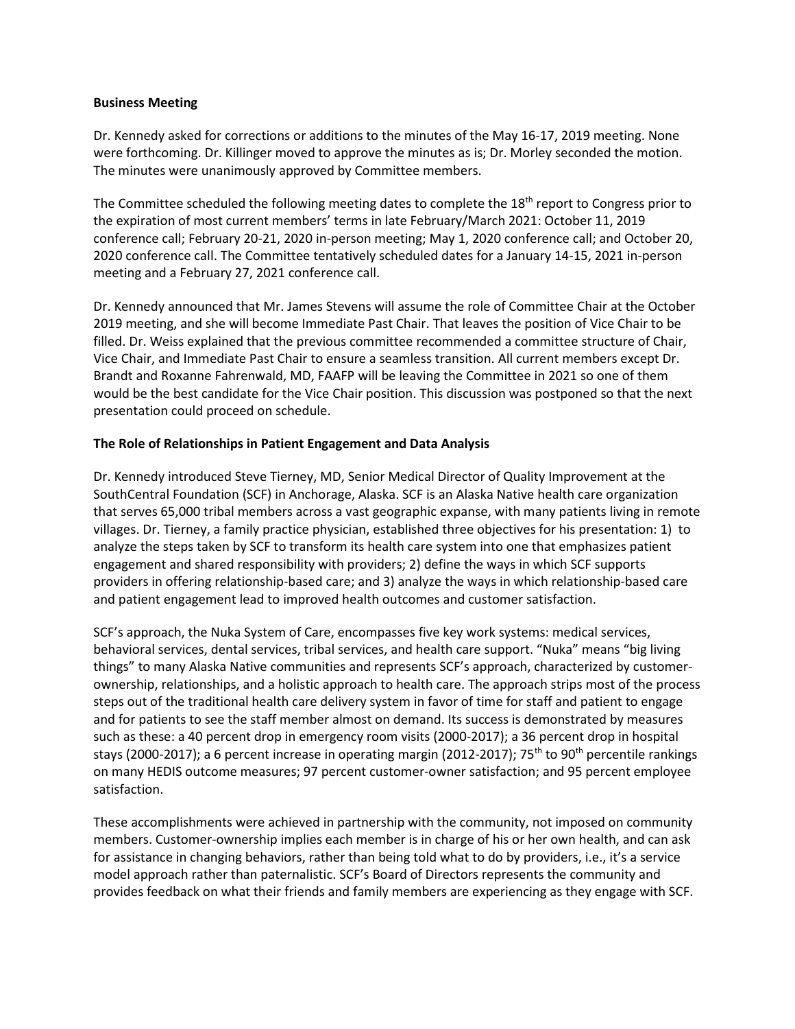## **Business Meeting**

Dr. Kennedy asked for corrections or additions to the minutes of the May 16-17, 2019 meeting. None were forthcoming. Dr. Killinger moved to approve the minutes as is; Dr. Morley seconded the motion. The minutes were unanimously approved by Committee members.

The Committee scheduled the following meeting dates to complete the 18<sup>th</sup> report to Congress prior to the expiration of most current members' terms in late February/March 2021: October 11, 2019 conference call; February 20-21, 2020 in-person meeting; May 1, 2020 conference call; and October 20, 2020 conference call. The Committee tentatively scheduled dates for a January 14-15, 2021 in-person meeting and a February 27, 2021 conference call.

Dr. Kennedy announced that Mr. James Stevens will assume the role of Committee Chair at the October 2019 meeting, and she will become Immediate Past Chair. That leaves the position of Vice Chair to be filled. Dr. Weiss explained that the previous committee recommended a committee structure of Chair, Vice Chair, and Immediate Past Chair to ensure a seamless transition. All current members except Dr. Brandt and Roxanne Fahrenwald, MD, FAAFP will be leaving the Committee in 2021 so one of them would be the best candidate for the Vice Chair position. This discussion was postponed so that the next presentation could proceed on schedule.

## **The Role of Relationships in Patient Engagement and Data Analysis**

Dr. Kennedy introduced Steve Tierney, MD, Senior Medical Director of Quality Improvement at the SouthCentral Foundation (SCF) in Anchorage, Alaska. SCF is an Alaska Native health care organization that serves 65,000 tribal members across a vast geographic expanse, with many patients living in remote villages. Dr. Tierney, a family practice physician, established three objectives for his presentation: 1) to analyze the steps taken by SCF to transform its health care system into one that emphasizes patient engagement and shared responsibility with providers; 2) define the ways in which SCF supports providers in offering relationship-based care; and 3) analyze the ways in which relationship-based care and patient engagement lead to improved health outcomes and customer satisfaction.

SCF's approach, the Nuka System of Care, encompasses five key work systems: medical services, behavioral services, dental services, tribal services, and health care support. "Nuka" means "big living things" to many Alaska Native communities and represents SCF's approach, characterized by customerownership, relationships, and a holistic approach to health care. The approach strips most of the process steps out of the traditional health care delivery system in favor of time for staff and patient to engage and for patients to see the staff member almost on demand. Its success is demonstrated by measures such as these: a 40 percent drop in emergency room visits (2000-2017); a 36 percent drop in hospital stays (2000-2017); a 6 percent increase in operating margin (2012-2017); 75<sup>th</sup> to 90<sup>th</sup> percentile rankings on many HEDIS outcome measures; 97 percent customer-owner satisfaction; and 95 percent employee satisfaction.

These accomplishments were achieved in partnership with the community, not imposed on community members. Customer-ownership implies each member is in charge of his or her own health, and can ask for assistance in changing behaviors, rather than being told what to do by providers, i.e., it's a service model approach rather than paternalistic. SCF's Board of Directors represents the community and provides feedback on what their friends and family members are experiencing as they engage with SCF.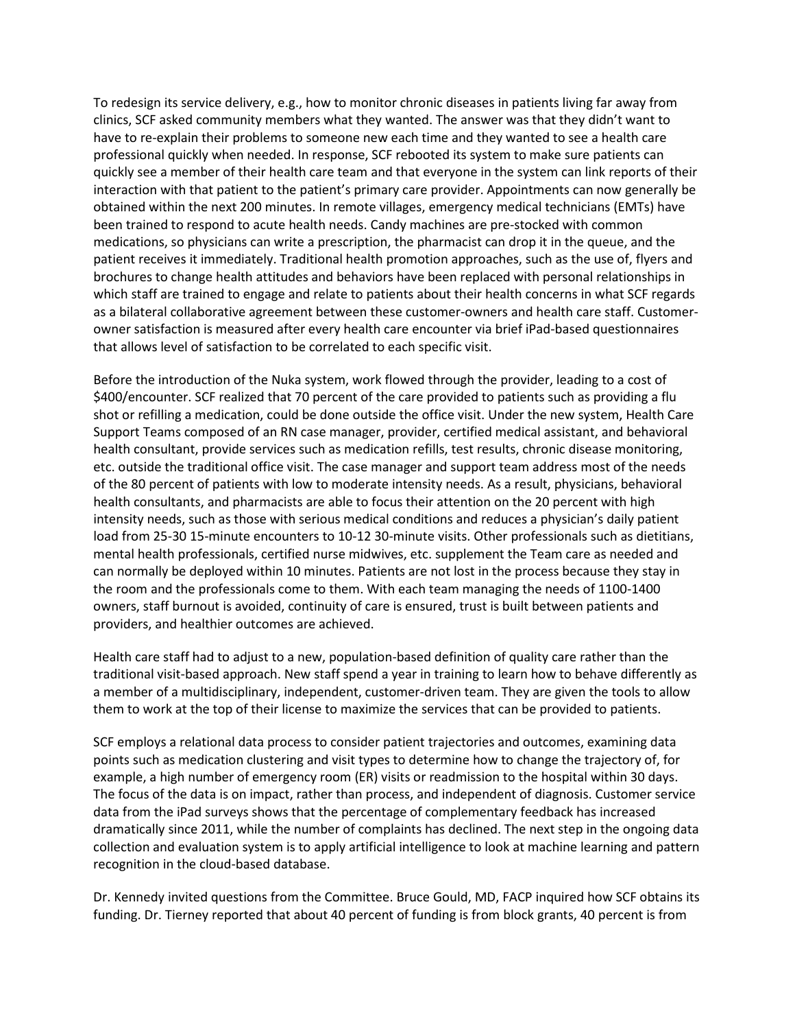To redesign its service delivery, e.g., how to monitor chronic diseases in patients living far away from clinics, SCF asked community members what they wanted. The answer was that they didn't want to have to re-explain their problems to someone new each time and they wanted to see a health care professional quickly when needed. In response, SCF rebooted its system to make sure patients can quickly see a member of their health care team and that everyone in the system can link reports of their interaction with that patient to the patient's primary care provider. Appointments can now generally be obtained within the next 200 minutes. In remote villages, emergency medical technicians (EMTs) have been trained to respond to acute health needs. Candy machines are pre-stocked with common medications, so physicians can write a prescription, the pharmacist can drop it in the queue, and the patient receives it immediately. Traditional health promotion approaches, such as the use of, flyers and brochures to change health attitudes and behaviors have been replaced with personal relationships in which staff are trained to engage and relate to patients about their health concerns in what SCF regards as a bilateral collaborative agreement between these customer-owners and health care staff. Customerowner satisfaction is measured after every health care encounter via brief iPad-based questionnaires that allows level of satisfaction to be correlated to each specific visit.

Before the introduction of the Nuka system, work flowed through the provider, leading to a cost of \$400/encounter. SCF realized that 70 percent of the care provided to patients such as providing a flu shot or refilling a medication, could be done outside the office visit. Under the new system, Health Care Support Teams composed of an RN case manager, provider, certified medical assistant, and behavioral health consultant, provide services such as medication refills, test results, chronic disease monitoring, etc. outside the traditional office visit. The case manager and support team address most of the needs of the 80 percent of patients with low to moderate intensity needs. As a result, physicians, behavioral health consultants, and pharmacists are able to focus their attention on the 20 percent with high intensity needs, such as those with serious medical conditions and reduces a physician's daily patient load from 25-30 15-minute encounters to 10-12 30-minute visits. Other professionals such as dietitians, mental health professionals, certified nurse midwives, etc. supplement the Team care as needed and can normally be deployed within 10 minutes. Patients are not lost in the process because they stay in the room and the professionals come to them. With each team managing the needs of 1100-1400 owners, staff burnout is avoided, continuity of care is ensured, trust is built between patients and providers, and healthier outcomes are achieved.

Health care staff had to adjust to a new, population-based definition of quality care rather than the traditional visit-based approach. New staff spend a year in training to learn how to behave differently as a member of a multidisciplinary, independent, customer-driven team. They are given the tools to allow them to work at the top of their license to maximize the services that can be provided to patients.

SCF employs a relational data process to consider patient trajectories and outcomes, examining data points such as medication clustering and visit types to determine how to change the trajectory of, for example, a high number of emergency room (ER) visits or readmission to the hospital within 30 days. The focus of the data is on impact, rather than process, and independent of diagnosis. Customer service data from the iPad surveys shows that the percentage of complementary feedback has increased dramatically since 2011, while the number of complaints has declined. The next step in the ongoing data collection and evaluation system is to apply artificial intelligence to look at machine learning and pattern recognition in the cloud-based database.

Dr. Kennedy invited questions from the Committee. Bruce Gould, MD, FACP inquired how SCF obtains its funding. Dr. Tierney reported that about 40 percent of funding is from block grants, 40 percent is from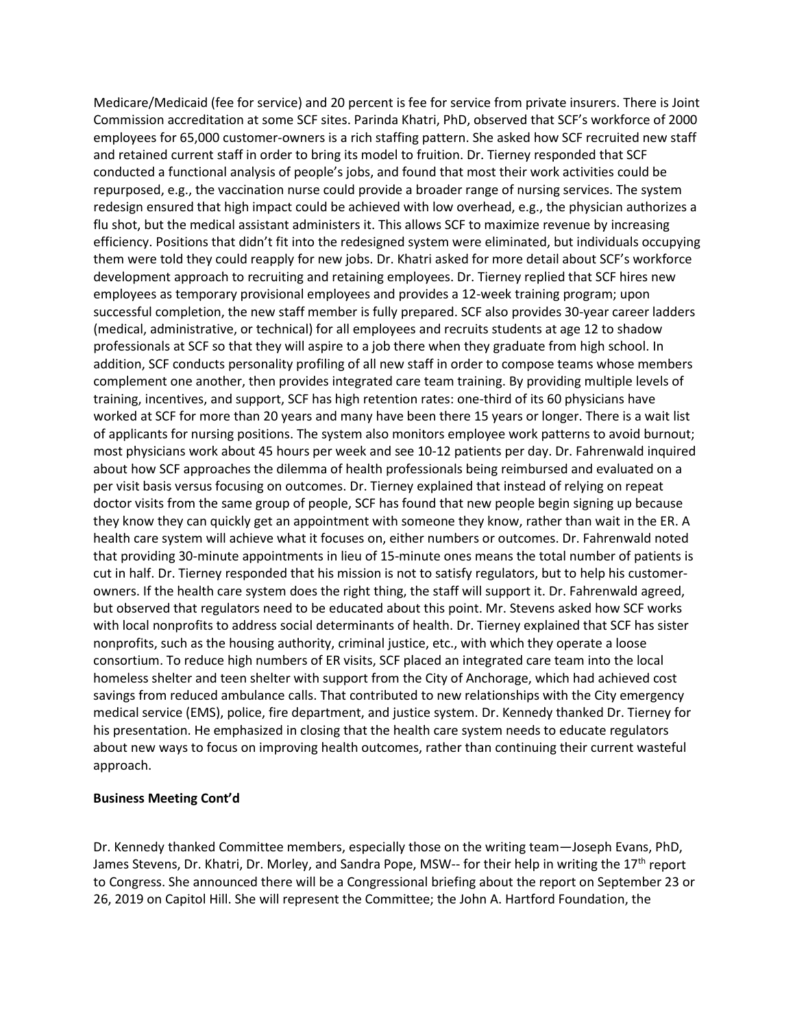Medicare/Medicaid (fee for service) and 20 percent is fee for service from private insurers. There is Joint Commission accreditation at some SCF sites. Parinda Khatri, PhD, observed that SCF's workforce of 2000 employees for 65,000 customer-owners is a rich staffing pattern. She asked how SCF recruited new staff and retained current staff in order to bring its model to fruition. Dr. Tierney responded that SCF conducted a functional analysis of people's jobs, and found that most their work activities could be repurposed, e.g., the vaccination nurse could provide a broader range of nursing services. The system redesign ensured that high impact could be achieved with low overhead, e.g., the physician authorizes a flu shot, but the medical assistant administers it. This allows SCF to maximize revenue by increasing efficiency. Positions that didn't fit into the redesigned system were eliminated, but individuals occupying them were told they could reapply for new jobs. Dr. Khatri asked for more detail about SCF's workforce development approach to recruiting and retaining employees. Dr. Tierney replied that SCF hires new employees as temporary provisional employees and provides a 12-week training program; upon successful completion, the new staff member is fully prepared. SCF also provides 30-year career ladders (medical, administrative, or technical) for all employees and recruits students at age 12 to shadow professionals at SCF so that they will aspire to a job there when they graduate from high school. In addition, SCF conducts personality profiling of all new staff in order to compose teams whose members complement one another, then provides integrated care team training. By providing multiple levels of training, incentives, and support, SCF has high retention rates: one-third of its 60 physicians have worked at SCF for more than 20 years and many have been there 15 years or longer. There is a wait list of applicants for nursing positions. The system also monitors employee work patterns to avoid burnout; most physicians work about 45 hours per week and see 10-12 patients per day. Dr. Fahrenwald inquired about how SCF approaches the dilemma of health professionals being reimbursed and evaluated on a per visit basis versus focusing on outcomes. Dr. Tierney explained that instead of relying on repeat doctor visits from the same group of people, SCF has found that new people begin signing up because they know they can quickly get an appointment with someone they know, rather than wait in the ER. A health care system will achieve what it focuses on, either numbers or outcomes. Dr. Fahrenwald noted that providing 30-minute appointments in lieu of 15-minute ones means the total number of patients is cut in half. Dr. Tierney responded that his mission is not to satisfy regulators, but to help his customerowners. If the health care system does the right thing, the staff will support it. Dr. Fahrenwald agreed, but observed that regulators need to be educated about this point. Mr. Stevens asked how SCF works with local nonprofits to address social determinants of health. Dr. Tierney explained that SCF has sister nonprofits, such as the housing authority, criminal justice, etc., with which they operate a loose consortium. To reduce high numbers of ER visits, SCF placed an integrated care team into the local homeless shelter and teen shelter with support from the City of Anchorage, which had achieved cost savings from reduced ambulance calls. That contributed to new relationships with the City emergency medical service (EMS), police, fire department, and justice system. Dr. Kennedy thanked Dr. Tierney for his presentation. He emphasized in closing that the health care system needs to educate regulators about new ways to focus on improving health outcomes, rather than continuing their current wasteful approach.

#### **Business Meeting Cont'd**

Dr. Kennedy thanked Committee members, especially those on the writing team—Joseph Evans, PhD, James Stevens, Dr. Khatri, Dr. Morley, and Sandra Pope, MSW-- for their help in writing the 17<sup>th</sup> report to Congress. She announced there will be a Congressional briefing about the report on September 23 or 26, 2019 on Capitol Hill. She will represent the Committee; the John A. Hartford Foundation, the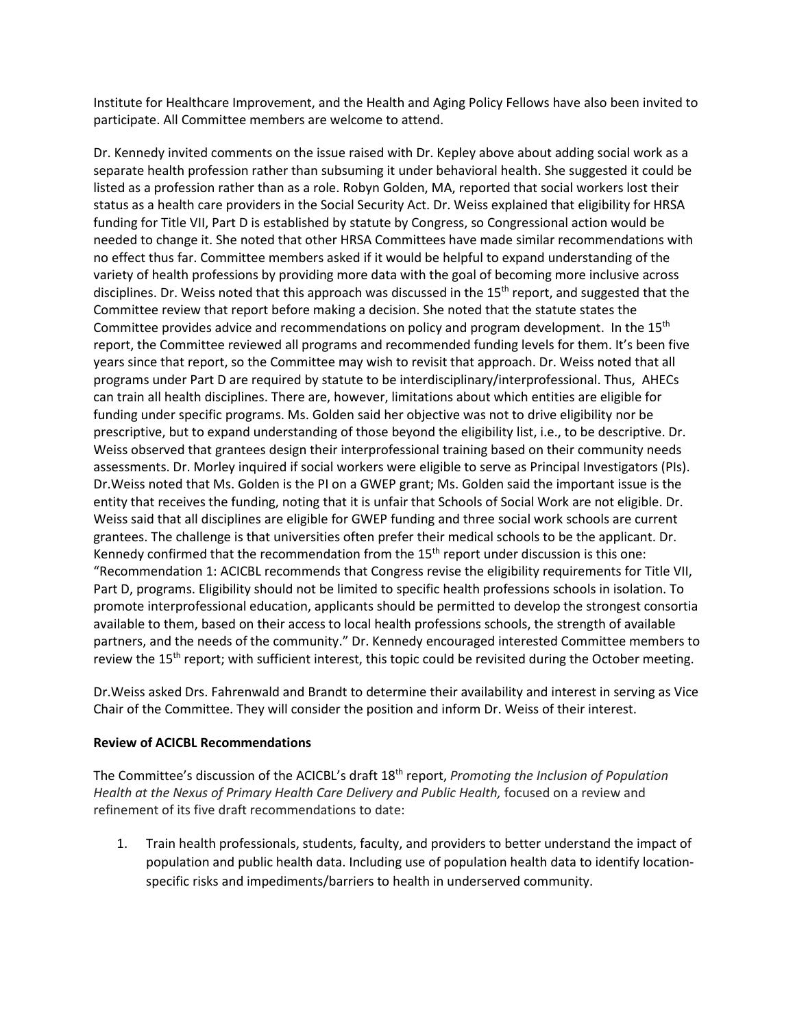Institute for Healthcare Improvement, and the Health and Aging Policy Fellows have also been invited to participate. All Committee members are welcome to attend.

Dr. Kennedy invited comments on the issue raised with Dr. Kepley above about adding social work as a separate health profession rather than subsuming it under behavioral health. She suggested it could be listed as a profession rather than as a role. Robyn Golden, MA, reported that social workers lost their status as a health care providers in the Social Security Act. Dr. Weiss explained that eligibility for HRSA funding for Title VII, Part D is established by statute by Congress, so Congressional action would be needed to change it. She noted that other HRSA Committees have made similar recommendations with no effect thus far. Committee members asked if it would be helpful to expand understanding of the variety of health professions by providing more data with the goal of becoming more inclusive across disciplines. Dr. Weiss noted that this approach was discussed in the 15<sup>th</sup> report, and suggested that the Committee review that report before making a decision. She noted that the statute states the Committee provides advice and recommendations on policy and program development. In the 15<sup>th</sup> report, the Committee reviewed all programs and recommended funding levels for them. It's been five years since that report, so the Committee may wish to revisit that approach. Dr. Weiss noted that all programs under Part D are required by statute to be interdisciplinary/interprofessional. Thus, AHECs can train all health disciplines. There are, however, limitations about which entities are eligible for funding under specific programs. Ms. Golden said her objective was not to drive eligibility nor be prescriptive, but to expand understanding of those beyond the eligibility list, i.e., to be descriptive. Dr. Weiss observed that grantees design their interprofessional training based on their community needs assessments. Dr. Morley inquired if social workers were eligible to serve as Principal Investigators (PIs). Dr.Weiss noted that Ms. Golden is the PI on a GWEP grant; Ms. Golden said the important issue is the entity that receives the funding, noting that it is unfair that Schools of Social Work are not eligible. Dr. Weiss said that all disciplines are eligible for GWEP funding and three social work schools are current grantees. The challenge is that universities often prefer their medical schools to be the applicant. Dr. Kennedy confirmed that the recommendation from the  $15<sup>th</sup>$  report under discussion is this one: "Recommendation 1: ACICBL recommends that Congress revise the eligibility requirements for Title VII, Part D, programs. Eligibility should not be limited to specific health professions schools in isolation. To promote interprofessional education, applicants should be permitted to develop the strongest consortia available to them, based on their access to local health professions schools, the strength of available partners, and the needs of the community." Dr. Kennedy encouraged interested Committee members to review the 15<sup>th</sup> report; with sufficient interest, this topic could be revisited during the October meeting.

Dr.Weiss asked Drs. Fahrenwald and Brandt to determine their availability and interest in serving as Vice Chair of the Committee. They will consider the position and inform Dr. Weiss of their interest.

## **Review of ACICBL Recommendations**

The Committee's discussion of the ACICBL's draft 18th report, *Promoting the Inclusion of Population*  Health at the Nexus of Primary Health Care Delivery and Public Health, focused on a review and refinement of its five draft recommendations to date:

1. Train health professionals, students, faculty, and providers to better understand the impact of population and public health data. Including use of population health data to identify locationspecific risks and impediments/barriers to health in underserved community.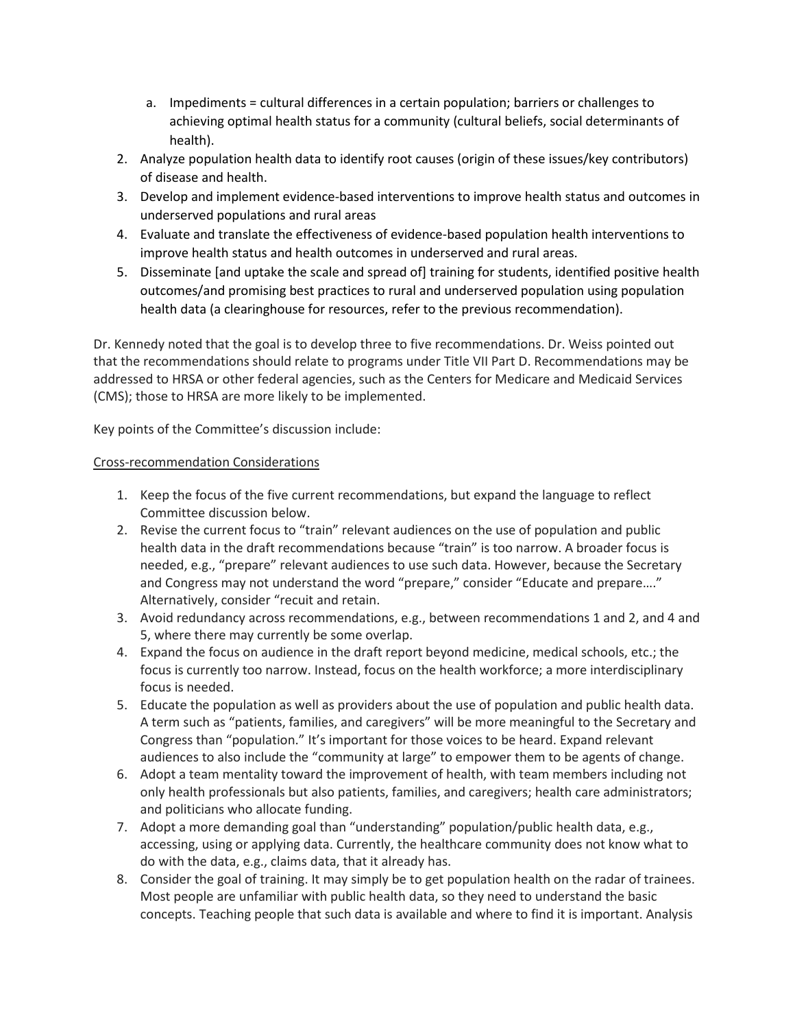- a. Impediments = cultural differences in a certain population; barriers or challenges to achieving optimal health status for a community (cultural beliefs, social determinants of health).
- 2. Analyze population health data to identify root causes (origin of these issues/key contributors) of disease and health.
- 3. Develop and implement evidence-based interventions to improve health status and outcomes in underserved populations and rural areas
- 4. Evaluate and translate the effectiveness of evidence-based population health interventions to improve health status and health outcomes in underserved and rural areas.
- 5. Disseminate [and uptake the scale and spread of] training for students, identified positive health outcomes/and promising best practices to rural and underserved population using population health data (a clearinghouse for resources, refer to the previous recommendation).

Dr. Kennedy noted that the goal is to develop three to five recommendations. Dr. Weiss pointed out that the recommendations should relate to programs under Title VII Part D. Recommendations may be addressed to HRSA or other federal agencies, such as the Centers for Medicare and Medicaid Services (CMS); those to HRSA are more likely to be implemented.

Key points of the Committee's discussion include:

# Cross-recommendation Considerations

- 1. Keep the focus of the five current recommendations, but expand the language to reflect Committee discussion below.
- 2. Revise the current focus to "train" relevant audiences on the use of population and public health data in the draft recommendations because "train" is too narrow. A broader focus is needed, e.g., "prepare" relevant audiences to use such data. However, because the Secretary and Congress may not understand the word "prepare," consider "Educate and prepare…." Alternatively, consider "recuit and retain.
- 3. Avoid redundancy across recommendations, e.g., between recommendations 1 and 2, and 4 and 5, where there may currently be some overlap.
- 4. Expand the focus on audience in the draft report beyond medicine, medical schools, etc.; the focus is currently too narrow. Instead, focus on the health workforce; a more interdisciplinary focus is needed.
- 5. Educate the population as well as providers about the use of population and public health data. A term such as "patients, families, and caregivers" will be more meaningful to the Secretary and Congress than "population." It's important for those voices to be heard. Expand relevant audiences to also include the "community at large" to empower them to be agents of change.
- 6. Adopt a team mentality toward the improvement of health, with team members including not only health professionals but also patients, families, and caregivers; health care administrators; and politicians who allocate funding.
- 7. Adopt a more demanding goal than "understanding" population/public health data, e.g., accessing, using or applying data. Currently, the healthcare community does not know what to do with the data, e.g., claims data, that it already has.
- 8. Consider the goal of training. It may simply be to get population health on the radar of trainees. Most people are unfamiliar with public health data, so they need to understand the basic concepts. Teaching people that such data is available and where to find it is important. Analysis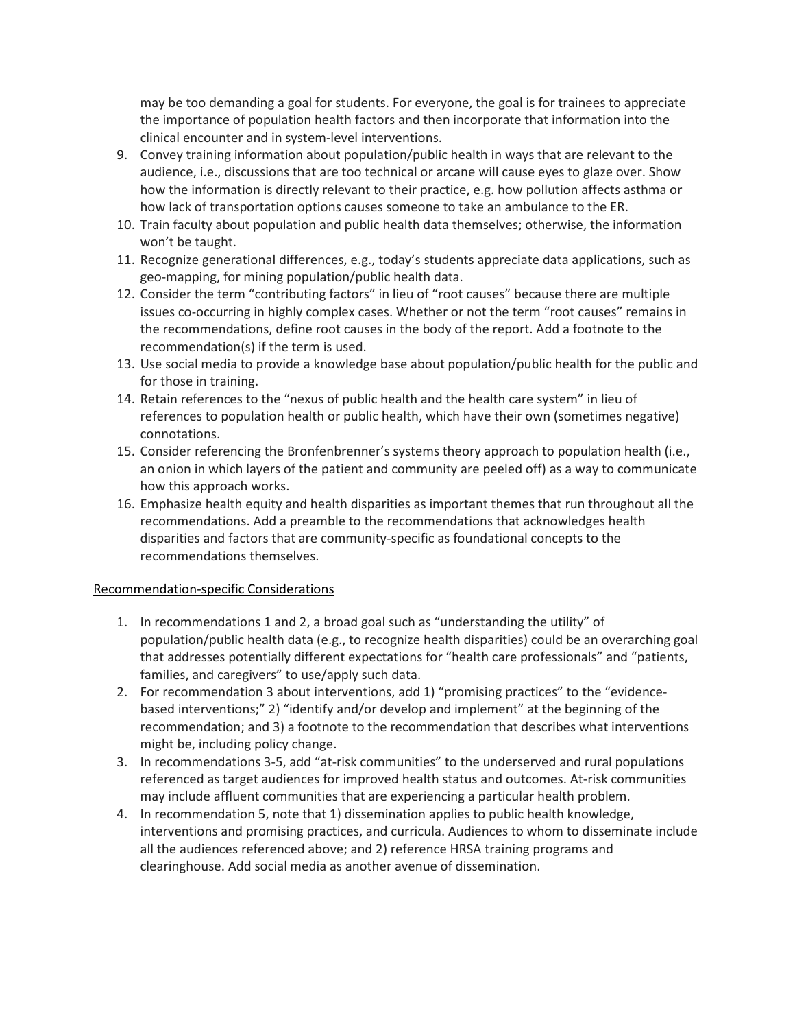may be too demanding a goal for students. For everyone, the goal is for trainees to appreciate the importance of population health factors and then incorporate that information into the clinical encounter and in system-level interventions.

- 9. Convey training information about population/public health in ways that are relevant to the audience, i.e., discussions that are too technical or arcane will cause eyes to glaze over. Show how the information is directly relevant to their practice, e.g. how pollution affects asthma or how lack of transportation options causes someone to take an ambulance to the ER.
- 10. Train faculty about population and public health data themselves; otherwise, the information won't be taught.
- 11. Recognize generational differences, e.g., today's students appreciate data applications, such as geo-mapping, for mining population/public health data.
- 12. Consider the term "contributing factors" in lieu of "root causes" because there are multiple issues co-occurring in highly complex cases. Whether or not the term "root causes" remains in the recommendations, define root causes in the body of the report. Add a footnote to the recommendation(s) if the term is used.
- 13. Use social media to provide a knowledge base about population/public health for the public and for those in training.
- 14. Retain references to the "nexus of public health and the health care system" in lieu of references to population health or public health, which have their own (sometimes negative) connotations.
- 15. Consider referencing the Bronfenbrenner's systems theory approach to population health (i.e., an onion in which layers of the patient and community are peeled off) as a way to communicate how this approach works.
- 16. Emphasize health equity and health disparities as important themes that run throughout all the recommendations. Add a preamble to the recommendations that acknowledges health disparities and factors that are community-specific as foundational concepts to the recommendations themselves.

## Recommendation-specific Considerations

- 1. In recommendations 1 and 2, a broad goal such as "understanding the utility" of population/public health data (e.g., to recognize health disparities) could be an overarching goal that addresses potentially different expectations for "health care professionals" and "patients, families, and caregivers" to use/apply such data.
- 2. For recommendation 3 about interventions, add 1) "promising practices" to the "evidencebased interventions;" 2) "identify and/or develop and implement" at the beginning of the recommendation; and 3) a footnote to the recommendation that describes what interventions might be, including policy change.
- 3. In recommendations 3-5, add "at-risk communities" to the underserved and rural populations referenced as target audiences for improved health status and outcomes. At-risk communities may include affluent communities that are experiencing a particular health problem.
- 4. In recommendation 5, note that 1) dissemination applies to public health knowledge, interventions and promising practices, and curricula. Audiences to whom to disseminate include all the audiences referenced above; and 2) reference HRSA training programs and clearinghouse. Add social media as another avenue of dissemination.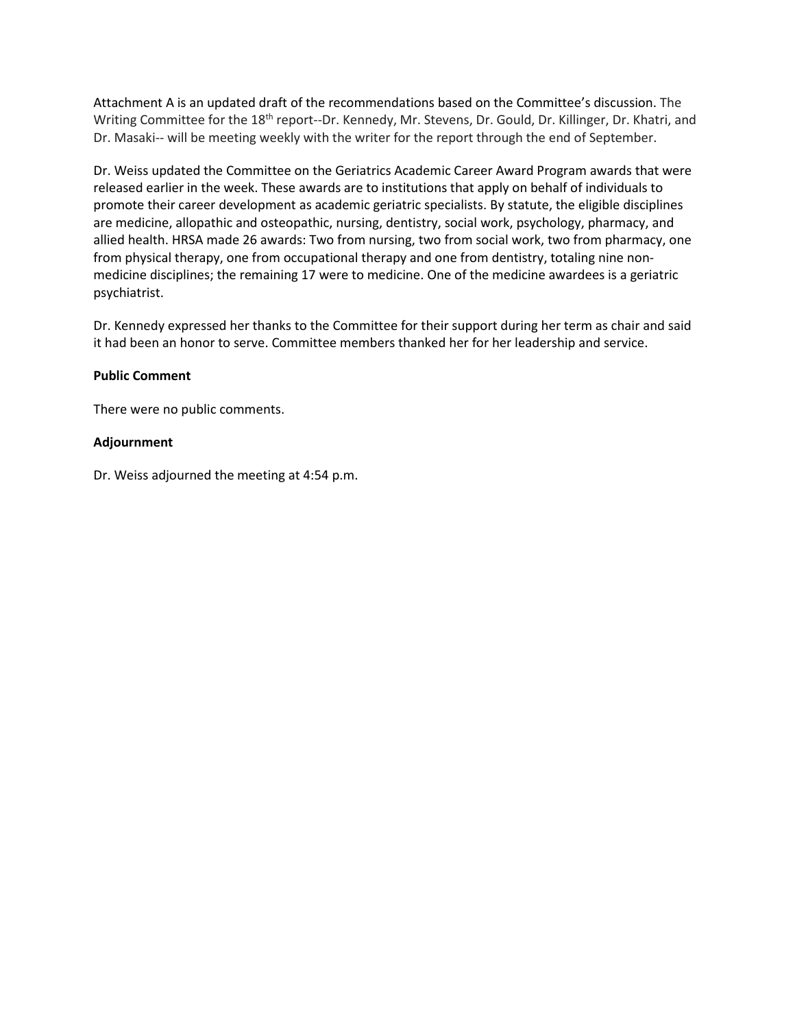Attachment A is an updated draft of the recommendations based on the Committee's discussion. The Writing Committee for the 18<sup>th</sup> report--Dr. Kennedy, Mr. Stevens, Dr. Gould, Dr. Killinger, Dr. Khatri, and Dr. Masaki-- will be meeting weekly with the writer for the report through the end of September.

Dr. Weiss updated the Committee on the Geriatrics Academic Career Award Program awards that were released earlier in the week. These awards are to institutions that apply on behalf of individuals to promote their career development as academic geriatric specialists. By statute, the eligible disciplines are medicine, allopathic and osteopathic, nursing, dentistry, social work, psychology, pharmacy, and allied health. HRSA made 26 awards: Two from nursing, two from social work, two from pharmacy, one from physical therapy, one from occupational therapy and one from dentistry, totaling nine nonmedicine disciplines; the remaining 17 were to medicine. One of the medicine awardees is a geriatric psychiatrist.

Dr. Kennedy expressed her thanks to the Committee for their support during her term as chair and said it had been an honor to serve. Committee members thanked her for her leadership and service.

## **Public Comment**

There were no public comments.

## **Adjournment**

Dr. Weiss adjourned the meeting at 4:54 p.m.